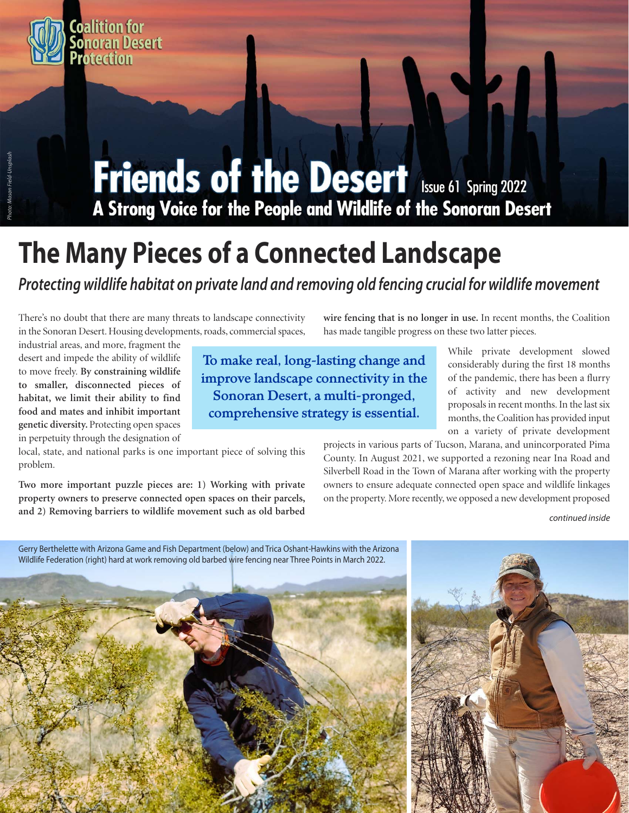# **Friends of the Desert Issue 61 Spring 2022**<br>A Strong Voice for the People and Wildlife of the Sonoran Desert

# **The Many Pieces of a Connected Landscape**

*Protecting wildlife habitat on private land and removing old fencing crucial for wildlife movement* 

**To make real, long-lasting change and improve landscape connectivity in the Sonoran Desert, a multi-pronged, comprehensive strategy is essential.** 

There's no doubt that there are many threats to landscape connectivity in the Sonoran Desert. Housing developments, roads, commercial spaces,

industrial areas, and more, fragment the desert and impede the ability of wildlife to move freely. **By constraining wildlife to smaller, disconnected pieces of habitat, we limit their ability to find food and mates and inhibit important genetic diversity.** Protecting open spaces in perpetuity through the designation of

local, state, and national parks is one important piece of solving this problem.

**Two more important puzzle pieces are: 1) Working with private property owners to preserve connected open spaces on their parcels, and 2) Removing barriers to wildlife movement such as old barbed** 

**wire fencing that is no longer in use.** In recent months, the Coalition has made tangible progress on these two latter pieces.

> While private development slowed considerably during the first 18 months of the pandemic, there has been a flurry of activity and new development proposals in recent months. In the last six months, the Coalition has provided input on a variety of private development

projects in various parts of Tucson, Marana, and unincorporated Pima County. In August 2021, we supported a rezoning near Ina Road and Silverbell Road in the Town of Marana after working with the property owners to ensure adequate connected open space and wildlife linkages on the property. More recently, we opposed a new development proposed

continued inside





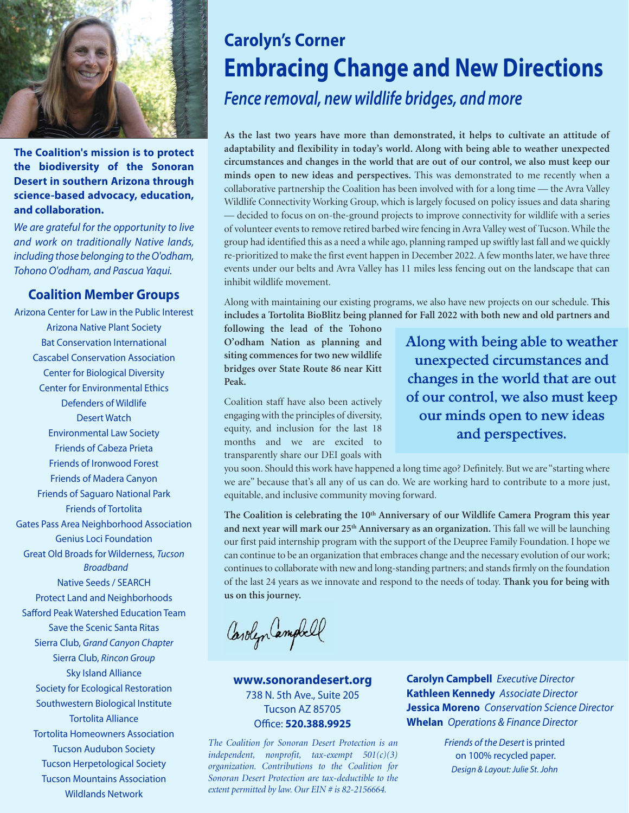

**The Coalition's mission is to protect the biodiversity of the Sonoran Desert in southern Arizona through science-based advocacy, education, and collaboration.** 

We are grateful for the opportunity to live and work on traditionally Native lands, including those belonging to the O'odham, Tohono O'odham, and Pascua Yaqui.

#### **Coalition Member Groups**

Arizona Center for Law in the Public Interest Arizona Native Plant Society Bat Conservation International Cascabel Conservation Association Center for Biological Diversity Center for Environmental Ethics Defenders of Wildlife Desert Watch Environmental Law Society Friends of Cabeza Prieta Friends of Ironwood Forest Friends of Madera Canyon Friends of Saguaro National Park Friends of Tortolita Gates Pass Area Neighborhood Association Genius Loci Foundation Great Old Broads for Wilderness, Tucson Broadband Native Seeds / SEARCH Protect Land and Neighborhoods Safford Peak Watershed Education Team Save the Scenic Santa Ritas Sierra Club, Grand Canyon Chapter Sierra Club, Rincon Group Sky Island Alliance Society for Ecological Restoration Southwestern Biological Institute Tortolita Alliance Tortolita Homeowners Association Tucson Audubon Society Tucson Herpetological Society Tucson Mountains Association Wildlands Network

#### **Carolyn's Corner Embracing Change and New Directions**  *Fence removal, new wildlife bridges, and more*

**As the last two years have more than demonstrated, it helps to cultivate an attitude of adaptability and flexibility in today's world. Along with being able to weather unexpected circumstances and changes in the world that are out of our control, we also must keep our minds open to new ideas and perspectives.** This was demonstrated to me recently when a collaborative partnership the Coalition has been involved with for a long time — the Avra Valley Wildlife Connectivity Working Group, which is largely focused on policy issues and data sharing — decided to focus on on-the-ground projects to improve connectivity for wildlife with a series of volunteer events to remove retired barbed wire fencing in Avra Valley west of Tucson. While the group had identified this as a need a while ago, planning ramped up swiftly last fall and we quickly re-prioritized to make the first event happen in December 2022. A few months later, we have three events under our belts and Avra Valley has 11 miles less fencing out on the landscape that can inhibit wildlife movement.

Along with maintaining our existing programs, we also have new projects on our schedule. **This includes a Tortolita BioBlitz being planned for Fall 2022 with both new and old partners and** 

**following the lead of the Tohono O'odham Nation as planning and siting commences for two new wildlife bridges over State Route 86 near Kitt Peak.**

Coalition staff have also been actively engaging with the principles of diversity, equity, and inclusion for the last 18 months and we are excited to transparently share our DEI goals with

**Along with being able to weather unexpected circumstances and changes in the world that are out of our control, we also must keep our minds open to new ideas and perspectives.**

you soon. Should this work have happened a long time ago? Definitely. But we are "starting where we are" because that's all any of us can do. We are working hard to contribute to a more just, equitable, and inclusive community moving forward.

The Coalition is celebrating the 10<sup>th</sup> Anniversary of our Wildlife Camera Program this year **and next year will mark our 25th Anniversary as an organization.** This fall we will be launching our first paid internship program with the support of the Deupree Family Foundation. I hope we can continue to be an organization that embraces change and the necessary evolution of our work; continues to collaborate with new and long-standing partners; and stands firmly on the foundation of the last 24 years as we innovate and respond to the needs of today. **Thank you for being with us on this journey.** 

Carolyn Campbell

**www.sonorandesert.org**  738 N. 5th Ave., Suite 205 Tucson AZ 85705 Office: **520.388.9925** 

*The Coalition for Sonoran Desert Protection is an independent, nonprofit, tax-exempt 501(c)(3) organization. Contributions to the Coalition for Sonoran Desert Protection are tax-deductible to the extent permitted by law. Our EIN # is 82-2156664.* 

**Carolyn Campbell Executive Director Kathleen Kennedy** Associate Director **Jessica Moreno** Conservation Science Director **Whelan** Operations & Finance Director

> Friends of the Desert is printed on 100% recycled paper. Design & Layout: Julie St. John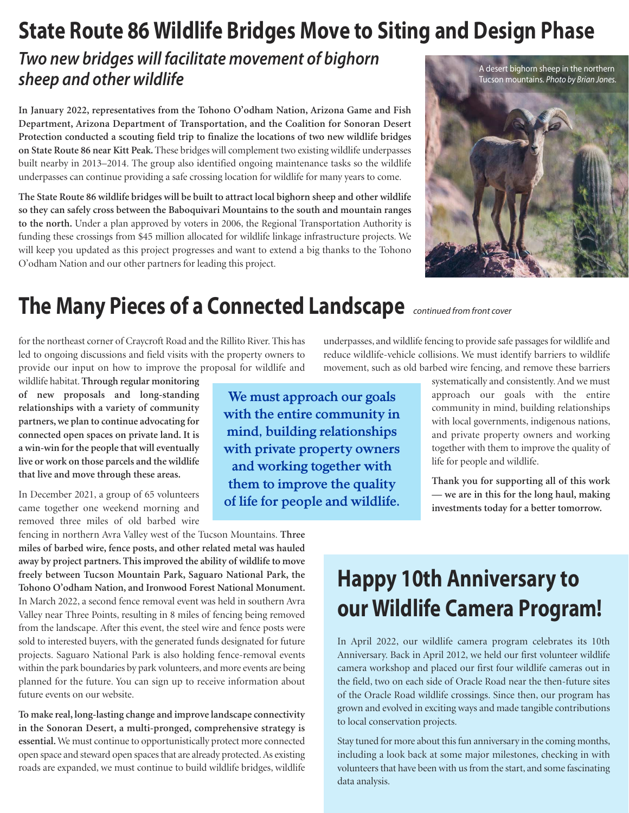## **State Route 86 Wildlife Bridges Move to Siting and Design Phase**

#### *Two new bridges will facilitate movement of bighorn sheep and other wildlife*

**In January 2022, representatives from the Tohono O'odham Nation, Arizona Game and Fish Department, Arizona Department of Transportation, and the Coalition for Sonoran Desert Protection conducted a scouting field trip to finalize the locations of two new wildlife bridges on State Route 86 near Kitt Peak.** These bridges will complement two existing wildlife underpasses built nearby in 2013–2014. The group also identified ongoing maintenance tasks so the wildlife underpasses can continue providing a safe crossing location for wildlife for many years to come.

**The State Route 86 wildlife bridges will be built to attract local bighorn sheep and other wildlife so they can safely cross between the Baboquivari Mountains to the south and mountain ranges to the north.** Under a plan approved by voters in 2006, the Regional Transportation Authority is funding these crossings from \$45 million allocated for wildlife linkage infrastructure projects. We will keep you updated as this project progresses and want to extend a big thanks to the Tohono O'odham Nation and our other partners for leading this project.



## **The Many Pieces of a Connected Landscape** continued from front cover

for the northeast corner of Craycroft Road and the Rillito River. This has led to ongoing discussions and field visits with the property owners to provide our input on how to improve the proposal for wildlife and

wildlife habitat. **Through regular monitoring of new proposals and long-standing relationships with a variety of community partners, we plan to continue advocating for connected open spaces on private land. It is a win-win for the people that will eventually live or work on those parcels and the wildlife that live and move through these areas.** 

In December 2021, a group of 65 volunteers came together one weekend morning and removed three miles of old barbed wire

fencing in northern Avra Valley west of the Tucson Mountains. **Three miles of barbed wire, fence posts, and other related metal was hauled away by project partners. This improved the ability of wildlife to move freely between Tucson Mountain Park, Saguaro National Park, the Tohono O'odham Nation, and Ironwood Forest National Monument.**  In March 2022, a second fence removal event was held in southern Avra Valley near Three Points, resulting in 8 miles of fencing being removed from the landscape. After this event, the steel wire and fence posts were sold to interested buyers, with the generated funds designated for future projects. Saguaro National Park is also holding fence-removal events within the park boundaries by park volunteers, and more events are being planned for the future. You can sign up to receive information about future events on our website.

**To make real, long-lasting change and improve landscape connectivity in the Sonoran Desert, a multi-pronged, comprehensive strategy is essential.** We must continue to opportunistically protect more connected open space and steward open spaces that are already protected. As existing roads are expanded, we must continue to build wildlife bridges, wildlife

**We must approach our goals with the entire community in mind, building relationships with private property owners and working together with them to improve the quality of life for people and wildlife.** 

underpasses, and wildlife fencing to provide safe passages for wildlife and reduce wildlife-vehicle collisions. We must identify barriers to wildlife movement, such as old barbed wire fencing, and remove these barriers

> systematically and consistently. And we must approach our goals with the entire community in mind, building relationships with local governments, indigenous nations, and private property owners and working together with them to improve the quality of life for people and wildlife.

> **Thank you for supporting all of this work — we are in this for the long haul, making investments today for a better tomorrow.**

# **Happy 10th Anniversary to our Wildlife Camera Program!**

In April 2022, our wildlife camera program celebrates its 10th Anniversary. Back in April 2012, we held our first volunteer wildlife camera workshop and placed our first four wildlife cameras out in the field, two on each side of Oracle Road near the then-future sites of the Oracle Road wildlife crossings. Since then, our program has grown and evolved in exciting ways and made tangible contributions to local conservation projects.

Stay tuned for more about this fun anniversary in the coming months, including a look back at some major milestones, checking in with volunteers that have been with us from the start, and some fascinating data analysis.